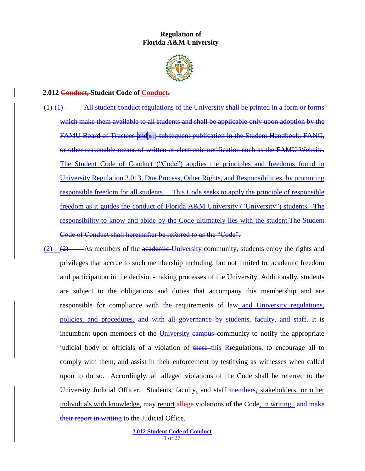## **Regulation of Florida A&M University**



## **2.012 Conduct, Student Code of Conduct.**

- (1)  $(1)$  All student conduct regulations of the University shall be printed in a form or forms which make them available to all students and shall be applicable only upon adoption by the FAMU Board of Trustees and <sub>[464]</sub> subsequent publication in the Student Handbook, FANG, or other reasonable means of written or electronic notification such as the FAMU Website. The Student Code of Conduct ("Code") applies the principles and freedoms found in University Regulation 2.013, Due Process, Other Rights, and Responsibilities, by promoting responsible freedom for all students. This Code seeks to apply the principle of responsible freedom as it guides the conduct of Florida A&M University ("University") students. The responsibility to know and abide by the Code ultimately lies with the student.The Student Code of Conduct shall hereinafter be referred to as the "Code".
- (2) (2) As members of the academic-University community, students enjoy the rights and privileges that accrue to such membership including, but not limited to, academic freedom and participation in the decision-making processes of the University. Additionally, students are subject to the obligations and duties that accompany this membership and are responsible for compliance with the requirements of law and University regulations, policies, and procedures. and with all governance by students, faculty, and staff. It is incumbent upon members of the University campus community to notify the appropriate judicial body or officials of a violation of these this Rregulations, to encourage all to comply with them, and assist in their enforcement by testifying as witnesses when called upon to do so. Accordingly, all alleged violations of the Code shall be referred to the University Judicial Officer. Students, faculty, and staff-members, stakeholders, or other individuals with knowledge, may report allege-violations of the Code, in writing, and make their report in writing to the Judicial Office.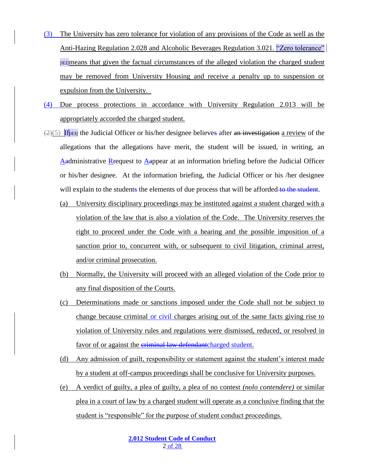- (3) The University has zero tolerance for violation of any provisions of the Code as well as the Anti-Hazing Regulation 2.028 and Alcoholic Beverages Regulation 3.021. "Zero tolerance" [IE2]means that given the factual circumstances of the alleged violation the charged student may be removed from University Housing and receive a penalty up to suspension or expulsion from the University.
- (4) Due process protections in accordance with University Regulation 2.013 will be appropriately accorded the charged student.
- $(2)(5)$  If[ $\mu$ E3] the Judicial Officer or his/her designee believes after an investigation a review of the allegations that the allegations have merit, the student will be issued, in writing, an Aadministrative Rrequest to Aappear at an information briefing before the Judicial Officer or his/her designee. At the information briefing, the Judicial Officer or his /her designee will explain to the students the elements of due process that will be afforded to the student.
	- (a) University disciplinary proceedings may be instituted against a student charged with a violation of the law that is also a violation of the Code. The University reserves the right to proceed under the Code with a hearing and the possible imposition of a sanction prior to, concurrent with, or subsequent to civil litigation, criminal arrest, and/or criminal prosecution.
	- (b) Normally, the University will proceed with an alleged violation of the Code prior to any final disposition of the Courts.
	- (c) Determinations made or sanctions imposed under the Code shall not be subject to change because criminal or civil charges arising out of the same facts giving rise to violation of University rules and regulations were dismissed, reduced, or resolved in favor of or against the *eriminal law defendantcharged student*.
	- (d) Any admission of guilt, responsibility or statement against the student's interest made by a student at off-campus proceedings shall be conclusive for University purposes.
	- (e) A verdict of guilty, a plea of guilty, a plea of no contest *(nolo contendere)* or similar plea in a court of law by a charged student will operate as a conclusive finding that the student is "responsible" for the purpose of student conduct proceedings.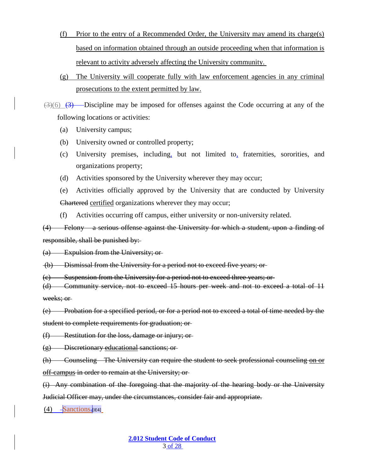- (f) Prior to the entry of a Recommended Order, the University may amend its charge(s) based on information obtained through an outside proceeding when that information is relevant to activity adversely affecting the University community.
- (g) The University will cooperate fully with law enforcement agencies in any criminal prosecutions to the extent permitted by law.

 $(3)(6)$   $(3)$  Discipline may be imposed for offenses against the Code occurring at any of the following locations or activities:

- (a) University campus;
- (b) University owned or controlled property;
- (c) University premises, including, but not limited to, fraternities, sororities, and organizations property;
- (d) Activities sponsored by the University wherever they may occur;
- (e) Activities officially approved by the University that are conducted by University Chartered certified organizations wherever they may occur;
- (f) Activities occurring off campus, either university or non-university related.

(4) Felony – a serious offense against the University for which a student, upon a finding of responsible, shall be punished by:

(a) Expulsion from the University; or

(b) Dismissal from the University for a period not to exceed five years; or

(c) Suspension from the University for a period not to exceed three years; or

(d) Community service, not to exceed 15 hours per week and not to exceed a total of 11 weeks; or

(e) Probation for a specified period, or for a period not to exceed a total of time needed by the

student to complete requirements for graduation; or

(f) Restitution for the loss, damage or injury; or

(g) Discretionary educational sanctions; or

(h) Counseling—The University can require the student to seek professional counseling on or off-campus in order to remain at the University; or-

(i) Any combination of the foregoing that the majority of the hearing body or the University Judicial Officer may, under the circumstances, consider fair and appropriate.

 $(4)$  -Sanctions. [IE4]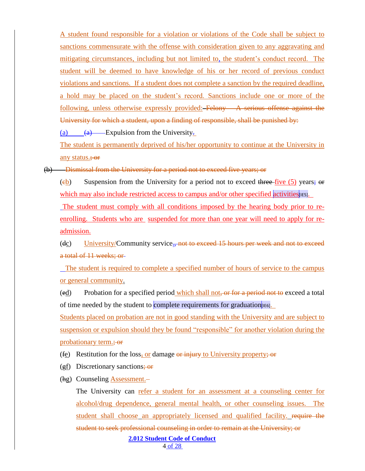A student found responsible for a violation or violations of the Code shall be subject to sanctions commensurate with the offense with consideration given to any aggravating and mitigating circumstances, including but not limited to, the student's conduct record. The student will be deemed to have knowledge of his or her record of previous conduct violations and sanctions. If a student does not complete a sanction by the required deadline, a hold may be placed on the student's record. Sanctions include one or more of the following, unless otherwise expressly provided: Felony – A serious offense against the University for which a student, upon a finding of responsible, shall be punished by: (a)  $\qquad \qquad (a) \qquad \qquad$  Expulsion from the University.

The student is permanently deprived of his/her opportunity to continue at the University in any status.; or

(b) Dismissal from the University for a period not to exceed five years; or

(eb) Suspension from the University for a period not to exceed three-five (5) years; or which may also include restricted access to campus and/or other specified activities [IE5]. The student must comply with all conditions imposed by the hearing body prior to re-

enrolling. Students who are suspended for more than one year will need to apply for readmission.

 $(d_{\mathcal{C}})$  University/Community service<sub>s</sub>, not to exceed 15 hours per week and not to exceed a total of 11 weeks; or

The student is required to complete a specified number of hours of service to the campus or general community.

(ed) Probation for a specified period which shall not, or for a period not to exceed a total of time needed by the student to complete requirements for graduation  $\mu_{[16]}$ .

Students placed on probation are not in good standing with the University and are subject to suspension or expulsion should they be found "responsible" for another violation during the probationary term.; or

(fe) Restitution for the loss, or damage  $\theta$  injury to University property;  $\theta$  is

 $(gf)$  Discretionary sanctions; or

(hg) Counseling Assessment.–

**2.012 Student Code of Conduct** The University can refer a student for an assessment at a counseling center for alcohol/drug dependence, general mental health, or other counseling issues. The student shall choose an appropriately licensed and qualified facility. require the student to seek professional counseling in order to remain at the University; or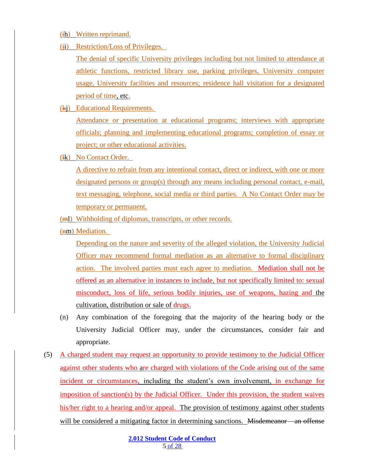- (ih) Written reprimand.
- (ii) Restriction/Loss of Privileges.

The denial of specific University privileges including but not limited to attendance at athletic functions, restricted library use, parking privileges, University computer usage, University facilities and resources; residence hall visitation for a designated period of time, etc.

(kj) Educational Requirements.

Attendance or presentation at educational programs; interviews with appropriate officials; planning and implementing educational programs; completion of essay or project; or other educational activities.

(Hk) No Contact Order.

A directive to refrain from any intentional contact, direct or indirect, with one or more designated persons or group(s) through any means including personal contact, e-mail, text messaging, telephone, social media or third parties. A No Contact Order may be temporary or permanent.

- (ml) Withholding of diplomas, transcripts, or other records.
- (nm) Mediation.

Depending on the nature and severity of the alleged violation, the University Judicial Officer may recommend formal mediation as an alternative to formal disciplinary action. The involved parties must each agree to mediation. Mediation shall not be offered as an alternative in instances to include, but not specifically limited to: sexual misconduct, loss of life, serious bodily injuries, use of weapons, hazing and the cultivation, distribution or sale of drugs.

- (n) Any combination of the foregoing that the majority of the hearing body or the University Judicial Officer may, under the circumstances, consider fair and appropriate.
- (5) A charged student may request an opportunity to provide testimony to the Judicial Officer against other students who are charged with violations of the Code arising out of the same incident or circumstances, including the student's own involvement, in exchange for imposition of sanction(s) by the Judicial Officer. Under this provision, the student waives his/her right to a hearing and/or appeal. The provision of testimony against other students will be considered a mitigating factor in determining sanctions. Misdemeanor – an offense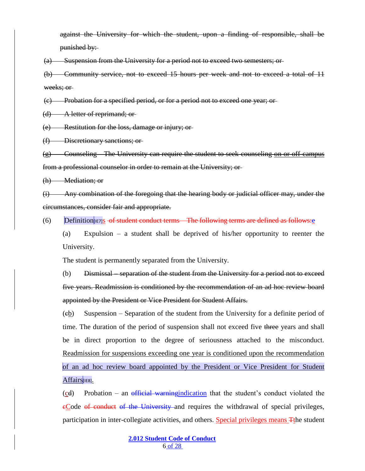against the University for which the student, upon a finding of responsible, shall be punished by:

(a) Suspension from the University for a period not to exceed two semesters; or

(b) Community service, not to exceed 15 hours per week and not to exceed a total of 11 weeks; or

(c) Probation for a specified period, or for a period not to exceed one year; or

(d) A letter of reprimand; or

(e) Restitution for the loss, damage or injury; or

(f) Discretionary sanctions; or

 $(g)$  Counseling—The University can require the student to seek counseling on or off-campus from a professional counselor in order to remain at the University; or

(h) Mediation; or

(i) Any combination of the foregoing that the hearing body or judicial officer may, under the circumstances, consider fair and appropriate.

 $(6)$  Definition  $[167]$ s of student conduct terms The following terms are defined as follows:

(a) Expulsion – a student shall be deprived of his/her opportunity to reenter the University.

The student is permanently separated from the University.

(b) Dismissal – separation of the student from the University for a period not to exceed five years. Readmission is conditioned by the recommendation of an ad hoc review board appointed by the President or Vice President for Student Affairs.

(cb) Suspension – Separation of the student from the University for a definite period of time. The duration of the period of suspension shall not exceed five three years and shall be in direct proportion to the degree of seriousness attached to the misconduct. Readmission for suspensions exceeding one year is conditioned upon the recommendation of an ad hoc review board appointed by the President or Vice President for Student Affairs[IE8].

 $(cd)$  Probation – an efficial warningindication that the student's conduct violated the eCode of conduct of the University and requires the withdrawal of special privileges, participation in inter-collegiate activities, and others. Special privileges means Tthe student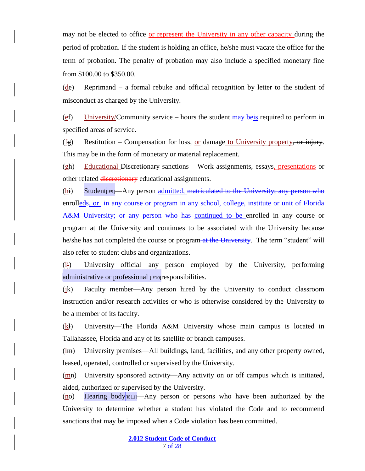may not be elected to office or represent the University in any other capacity during the period of probation. If the student is holding an office, he/she must vacate the office for the term of probation. The penalty of probation may also include a specified monetary fine from \$100.00 to \$350.00.

(de) Reprimand – a formal rebuke and official recognition by letter to the student of misconduct as charged by the University.

(ef) University/Community service – hours the student  $\frac{m}{m}$  beis required to perform in specified areas of service.

 $(fg)$  Restitution – Compensation for loss, or damage to University property, or injury. This may be in the form of monetary or material replacement.

(gh) Educational Discretionary sanctions – Work assignments, essays, presentations or other related discretionary educational assignments.

 $(h_i)$  Student  $\left| \right|$  Student  $\left| \right|$  and person admitted, matriculated to the University; any person who enrolleds, or -in any course or program in any school, college, institute or unit of Florida A&M University; or any person who has continued to be enrolled in any course or program at the University and continues to be associated with the University because he/she has not completed the course or program at the University. The term "student" will also refer to student clubs and organizations.

(ij) University official—any person employed by the University, performing administrative or professional **[IE10]**responsibilities.

(jk) Faculty member—Any person hired by the University to conduct classroom instruction and/or research activities or who is otherwise considered by the University to be a member of its faculty.

(kl) University—The Florida A&M University whose main campus is located in Tallahassee, Florida and any of its satellite or branch campuses.

(lm) University premises—All buildings, land, facilities, and any other property owned, leased, operated, controlled or supervised by the University.

 $(mh)$  University sponsored activity—Any activity on or off campus which is initiated, aided, authorized or supervised by the University.

 $(ne)$  Hearing body  $[n11]$ —Any person or persons who have been authorized by the University to determine whether a student has violated the Code and to recommend sanctions that may be imposed when a Code violation has been committed.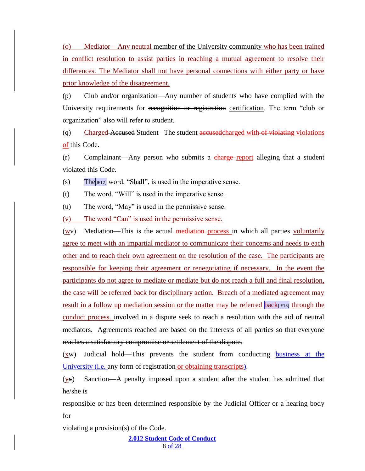(o) Mediator – Any neutral member of the University community who has been trained in conflict resolution to assist parties in reaching a mutual agreement to resolve their differences. The Mediator shall not have personal connections with either party or have prior knowledge of the disagreement.

(p) Club and/or organization—Any number of students who have complied with the University requirements for recognition or registration certification. The term "club or organization" also will refer to student.

(q) Charged Accused Student –The student accusedcharged with of violating violations of this Code.

(r) Complainant—Any person who submits a charge report alleging that a student violated this Code.

 $\sum_{\text{[N]}}$  (s) The [IE12] word, "Shall", is used in the imperative sense.

(t) The word, "Will" is used in the imperative sense.

(u) The word, "May" is used in the permissive sense.

(v) The word "Can" is used in the permissive sense.

 $(w\mathbf{v})$  Mediation—This is the actual mediation process in which all parties voluntarily agree to meet with an impartial mediator to communicate their concerns and needs to each other and to reach their own agreement on the resolution of the case. The participants are responsible for keeping their agreement or renegotiating if necessary. In the event the participants do not agree to mediate or mediate but do not reach a full and final resolution, the case will be referred back for disciplinary action. Breach of a mediated agreement may result in a follow up mediation session or the matter may be referred back[[E13] through the conduct process. involved in a dispute seek to reach a resolution with the aid of neutral mediators. Agreements reached are based on the interests of all parties so that everyone reaches a satisfactory compromise or settlement of the dispute.

(xw) Judicial hold—This prevents the student from conducting business at the University (i.e. any form of registration or obtaining transcripts).

(yx) Sanction—A penalty imposed upon a student after the student has admitted that he/she is

responsible or has been determined responsible by the Judicial Officer or a hearing body for

violating a provision(s) of the Code.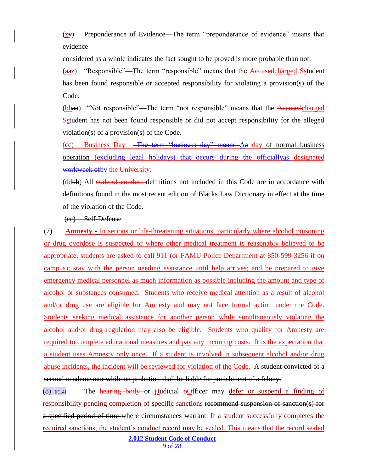$(\underline{z}y)$  Preponderance of Evidence—The term "preponderance of evidence" means that evidence

considered as a whole indicates the fact sought to be proved is more probable than not.

(aaz) "Responsible"—The term "responsible" means that the Accused charged Sstudent has been found responsible or accepted responsibility for violating a provision(s) of the Code.

(bbaa) "Not responsible"—The term "not responsible" means that the Accused charged Sstudent has not been found responsible or did not accept responsibility for the alleged violation(s) of a provision(s) of the Code.

(cc) Business Day – The term "business day" means Aa day of normal business operation (excluding legal holidays) that occurs during the officiallyas designated workweek ofbv the University.

(ddbb) All code of conduct definitions not included in this Code are in accordance with definitions found in the most recent edition of Blacks Law Dictionary in effect at the time of the violation of the Code.

## (cc) Self-Defense

(7) **Amnesty -** In serious or life-threatening situations, particularly where alcohol poisoning or drug overdose is suspected or where other medical treatment is reasonably believed to be appropriate, students are asked to call 911 (or FAMU Police Department at 850-599-3256 if on campus); stay with the person needing assistance until help arrives; and be prepared to give emergency medical personnel as much information as possible including the amount and type of alcohol or substances consumed. Students who receive medical attention as a result of alcohol and/or drug use are eligible for Amnesty and may not face formal action under the Code. Students seeking medical assistance for another person while simultaneously violating the alcohol and/or drug regulation may also be eligible. Students who qualify for Amnesty are required to complete educational measures and pay any incurring costs. It is the expectation that a student uses Amnesty only once. If a student is involved in subsequent alcohol and/or drug abuse incidents, the incident will be reviewed for violation of the Code. A student convicted of a second misdemeanor while on probation shall be liable for punishment of a felony.

(8)  $\mu$ <sub>[IE14]</sub> The hearing body or iJudicial oOfficer may defer or suspend a finding of responsibility pending completion of specific sanctions recommend suspension of sanction(s) for a specified period of time where circumstances warrant. If a student successfully completes the required sanctions, the student's conduct record may be sealed. This means that the record sealed

**2.012 Student Code of Conduct**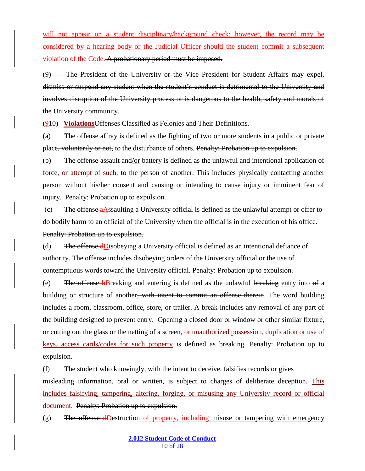will not appear on a student disciplinary/background check; however, the record may be considered by a hearing body or the Judicial Officer should the student commit a subsequent violation of the Code. A probationary period must be imposed.

(9) The President of the University or the Vice President for Student Affairs may expel, dismiss or suspend any student when the student's conduct is detrimental to the University and involves disruption of the University process or is dangerous to the health, safety and morals of the University community.

(910) **Violations**Offenses Classified as Felonies and Their Definitions.

(a) The offense affray is defined as the fighting of two or more students in a public or private place, voluntarily or not, to the disturbance of others. Penalty: Probation up to expulsion.

(b) The offense assault and/or battery is defined as the unlawful and intentional application of force, or attempt of such, to the person of another. This includes physically contacting another person without his/her consent and causing or intending to cause injury or imminent fear of injury. Penalty: Probation up to expulsion.

(c) The offense aAssaulting a University official is defined as the unlawful attempt or offer to do bodily harm to an official of the University when the official is in the execution of his office. Penalty: Probation up to expulsion.

(d) The offense dDisobeying a University official is defined as an intentional defiance of authority. The offense includes disobeying orders of the University official or the use of contemptuous words toward the University official. Penalty: Probation up to expulsion.

(e) The offense bBreaking and entering is defined as the unlawful breaking entry into  $\theta$  a building or structure of another, with intent to commit an offense therein. The word building includes a room, classroom, office, store, or trailer. A break includes any removal of any part of the building designed to prevent entry. Opening a closed door or window or other similar fixture, or cutting out the glass or the netting of a screen, or unauthorized possession, duplication or use of keys, access cards/codes for such property is defined as breaking. Penalty: Probation up to expulsion.

(f) The student who knowingly, with the intent to deceive, falsifies records or gives misleading information, oral or written, is subject to charges of deliberate deception. This includes falsifying, tampering, altering, forging, or misusing any University record or official document. Penalty: Probation up to expulsion.

(g) The offense dDestruction of property, including misuse or tampering with emergency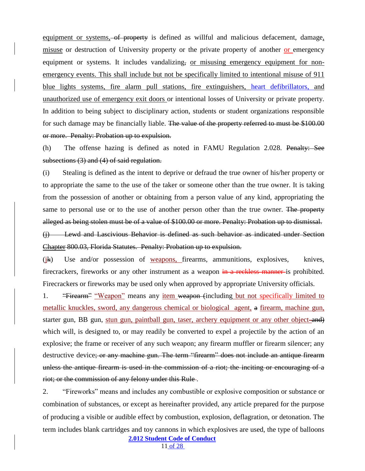equipment or systems, of property is defined as willful and malicious defacement, damage, misuse or destruction of University property or the private property of another or emergency equipment or systems. It includes vandalizing, or misusing emergency equipment for nonemergency events. This shall include but not be specifically limited to intentional misuse of 911 blue lights systems, fire alarm pull stations, fire extinguishers, heart defibrillators, and unauthorized use of emergency exit doors or intentional losses of University or private property. In addition to being subject to disciplinary action, students or student organizations responsible for such damage may be financially liable. The value of the property referred to must be \$100.00 or more. Penalty: Probation up to expulsion.

(h) The offense hazing is defined as noted in FAMU Regulation 2.028. Penalty: See subsections (3) and (4) of said regulation.

(i) Stealing is defined as the intent to deprive or defraud the true owner of his/her property or to appropriate the same to the use of the taker or someone other than the true owner. It is taking from the possession of another or obtaining from a person value of any kind, appropriating the same to personal use or to the use of another person other than the true owner. The property alleged as being stolen must be of a value of \$100.00 or more. Penalty: Probation up to dismissal. (j) Lewd and Lascivious Behavior is defined as such behavior as indicated under Section Chapter 800.03, Florida Statutes. Penalty: Probation up to expulsion.

(jk) Use and/or possession of weapons, firearms, ammunitions, explosives, knives, firecrackers, fireworks or any other instrument as a weapon in a reckless manner is prohibited. Firecrackers or fireworks may be used only when approved by appropriate University officials.

1. "Firearm" "Weapon" means any item weapon (including but not specifically limited to metallic knuckles, sword, any dangerous chemical or biological agent, a firearm, machine gun, starter gun, BB gun, stun gun, paintball gun, taser, archery equipment or any other object-and) which will, is designed to, or may readily be converted to expel a projectile by the action of an explosive; the frame or receiver of any such weapon; any firearm muffler or firearm silencer; any destructive device<del>; or any machine gun. The term "firearm" does not include an antique firearm</del> unless the antique firearm is used in the commission of a riot; the inciting or encouraging of a riot; or the commission of any felony under this Rule .

**2.012 Student Code of Conduct** 2. "Fireworks" means and includes any combustible or explosive composition or substance or combination of substances, or except as hereinafter provided, any article prepared for the purpose of producing a visible or audible effect by combustion, explosion, deflagration, or detonation. The term includes blank cartridges and toy cannons in which explosives are used, the type of balloons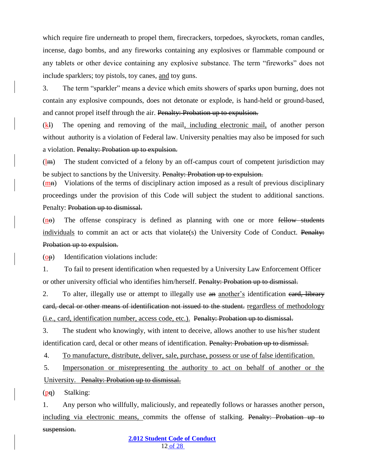which require fire underneath to propel them, firecrackers, torpedoes, skyrockets, roman candles, incense, dago bombs, and any fireworks containing any explosives or flammable compound or any tablets or other device containing any explosive substance. The term "fireworks" does not include sparklers; toy pistols, toy canes, and toy guns.

3. The term "sparkler" means a device which emits showers of sparks upon burning, does not contain any explosive compounds, does not detonate or explode, is hand-held or ground-based, and cannot propel itself through the air. Penalty: Probation up to expulsion.

(kl) The opening and removing of the mail, including electronic mail, of another person without authority is a violation of Federal law. University penalties may also be imposed for such a violation. Penalty: Probation up to expulsion.

 $(lm)$  The student convicted of a felony by an off-campus court of competent jurisdiction may be subject to sanctions by the University. Presently: Probation up to expulsion.

 $(m<sub>H</sub>)$  Violations of the terms of disciplinary action imposed as a result of previous disciplinary proceedings under the provision of this Code will subject the student to additional sanctions. Penalty: Probation up to dismissal.

 $(ne)$  The offense conspiracy is defined as planning with one or more fellow students individuals to commit an act or acts that violate(s) the University Code of Conduct. Penalty: Probation up to expulsion.

(op) Identification violations include:

1. To fail to present identification when requested by a University Law Enforcement Officer or other university official who identifies him/herself. Penalty: Probation up to dismissal.

2. To alter, illegally use or attempt to illegally use an another's identification eard, library card, decal or other means of identification not issued to the student. regardless of methodology (i.e., card, identification number, access code, etc.). Penalty: Probation up to dismissal.

3. The student who knowingly, with intent to deceive, allows another to use his/her student identification card, decal or other means of identification. Penalty: Probation up to dismissal.

4. To manufacture, distribute, deliver, sale, purchase, possess or use of false identification.

5. Impersonation or misrepresenting the authority to act on behalf of another or the University. Penalty: Probation up to dismissal.

(pq) Stalking:

1. Any person who willfully, maliciously, and repeatedly follows or harasses another person, including via electronic means, commits the offense of stalking. Penalty: Probation up to suspension.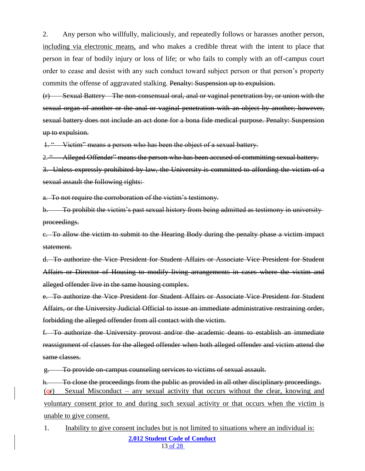2. Any person who willfully, maliciously, and repeatedly follows or harasses another person, including via electronic means, and who makes a credible threat with the intent to place that person in fear of bodily injury or loss of life; or who fails to comply with an off-campus court order to cease and desist with any such conduct toward subject person or that person's property commits the offense of aggravated stalking. Penalty: Suspension up to expulsion.

(r) Sexual Battery – The non-consensual oral, anal or vaginal penetration by, or union with the sexual organ of another or the anal or vaginal penetration with an object by another; however, sexual battery does not include an act done for a bona fide medical purpose. Penalty: Suspension up to expulsion.

1. " Victim" means a person who has been the object of a sexual battery.

2. " Alleged Offender" means the person who has been accused of committing sexual battery.

3. Unless expressly prohibited by law, the University is committed to affording the victim of a sexual assault the following rights:

a. To not require the corroboration of the victim's testimony.

b. To prohibit the victim's past sexual history from being admitted as testimony in university proceedings.

c. To allow the victim to submit to the Hearing Body during the penalty phase a victim impact statement.

d. To authorize the Vice President for Student Affairs or Associate Vice President for Student Affairs or Director of Housing to modify living arrangements in cases where the victim and alleged offender live in the same housing complex.

e. To authorize the Vice President for Student Affairs or Associate Vice President for Student Affairs, or the University Judicial Official to issue an immediate administrative restraining order, forbidding the alleged offender from all contact with the victim.

f. To authorize the University provost and/or the academic deans to establish an immediate reassignment of classes for the alleged offender when both alleged offender and victim attend the same classes.

g. To provide on-campus counseling services to victims of sexual assault.

h. To close the proceedings from the public as provided in all other disciplinary proceedings. (qr) Sexual Misconduct – any sexual activity that occurs without the clear, knowing and voluntary consent prior to and during such sexual activity or that occurs when the victim is unable to give consent.

**2.012 Student Code of Conduct** 13 of 28 1. Inability to give consent includes but is not limited to situations where an individual is: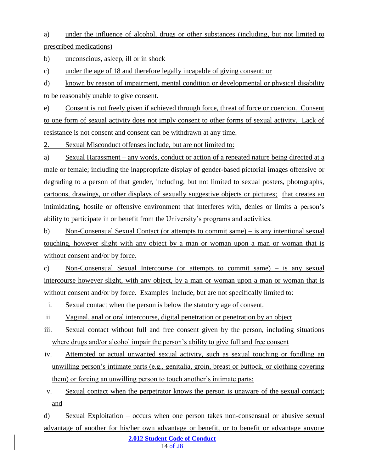a) under the influence of alcohol, drugs or other substances (including, but not limited to prescribed medications)

b) unconscious, asleep, ill or in shock

c) under the age of 18 and therefore legally incapable of giving consent; or

d) known by reason of impairment, mental condition or developmental or physical disability to be reasonably unable to give consent.

e) Consent is not freely given if achieved through force, threat of force or coercion. Consent to one form of sexual activity does not imply consent to other forms of sexual activity. Lack of resistance is not consent and consent can be withdrawn at any time.

2. Sexual Misconduct offenses include, but are not limited to:

a) Sexual Harassment – any words, conduct or action of a repeated nature being directed at a male or female; including the inappropriate display of gender-based pictorial images offensive or degrading to a person of that gender, including, but not limited to sexual posters, photographs, cartoons, drawings, or other displays of sexually suggestive objects or pictures; that creates an intimidating, hostile or offensive environment that interferes with, denies or limits a person's ability to participate in or benefit from the University's programs and activities.

b) Non-Consensual Sexual Contact (or attempts to commit same) – is any intentional sexual touching, however slight with any object by a man or woman upon a man or woman that is without consent and/or by force.

c) Non-Consensual Sexual Intercourse (or attempts to commit same) – is any sexual intercourse however slight, with any object, by a man or woman upon a man or woman that is without consent and/or by force. Examples include, but are not specifically limited to:

i. Sexual contact when the person is below the statutory age of consent.

ii. Vaginal, anal or oral intercourse, digital penetration or penetration by an object

iii. Sexual contact without full and free consent given by the person, including situations where drugs and/or alcohol impair the person's ability to give full and free consent

iv. Attempted or actual unwanted sexual activity, such as sexual touching or fondling an unwilling person's intimate parts (e.g., genitalia, groin, breast or buttock, or clothing covering them) or forcing an unwilling person to touch another's intimate parts;

v. Sexual contact when the perpetrator knows the person is unaware of the sexual contact; and

**2.012 Student Code of Conduct** d) Sexual Exploitation – occurs when one person takes non-consensual or abusive sexual advantage of another for his/her own advantage or benefit, or to benefit or advantage anyone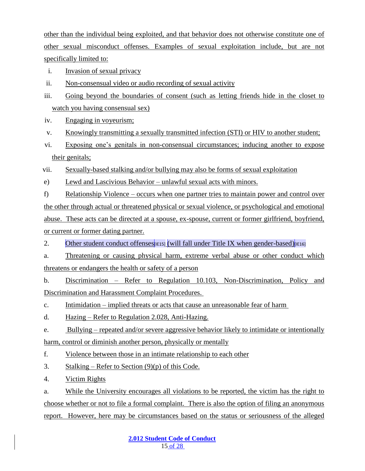other than the individual being exploited, and that behavior does not otherwise constitute one of other sexual misconduct offenses. Examples of sexual exploitation include, but are not specifically limited to:

- i. Invasion of sexual privacy
- ii. Non-consensual video or audio recording of sexual activity
- iii. Going beyond the boundaries of consent (such as letting friends hide in the closet to watch you having consensual sex)
- iv. Engaging in voyeurism;
- v. Knowingly transmitting a sexually transmitted infection (STI) or HIV to another student;
- vi. Exposing one's genitals in non-consensual circumstances; inducing another to expose their genitals;

vii. Sexually-based stalking and/or bullying may also be forms of sexual exploitation

e) Lewd and Lascivious Behavior – unlawful sexual acts with minors.

f) Relationship Violence – occurs when one partner tries to maintain power and control over the other through actual or threatened physical or sexual violence, or psychological and emotional abuse. These acts can be directed at a spouse, ex-spouse, current or former girlfriend, boyfriend, or current or former dating partner.

2. Other student conduct offenses  $\left| \right|$  (will fall under Title IX when gender-based) $\left| \right|$  (E16)

a. Threatening or causing physical harm, extreme verbal abuse or other conduct which threatens or endangers the health or safety of a person

b. Discrimination – Refer to Regulation 10.103, Non-Discrimination, Policy and Discrimination and Harassment Complaint Procedures.

c. Intimidation – implied threats or acts that cause an unreasonable fear of harm

d. Hazing – Refer to Regulation 2.028, Anti-Hazing.

e. Bullying – repeated and/or severe aggressive behavior likely to intimidate or intentionally harm, control or diminish another person, physically or mentally

f. Violence between those in an intimate relationship to each other

- 3. Stalking Refer to Section  $(9)(p)$  of this Code.
- 4. Victim Rights

a. While the University encourages all violations to be reported, the victim has the right to choose whether or not to file a formal complaint. There is also the option of filing an anonymous report. However, here may be circumstances based on the status or seriousness of the alleged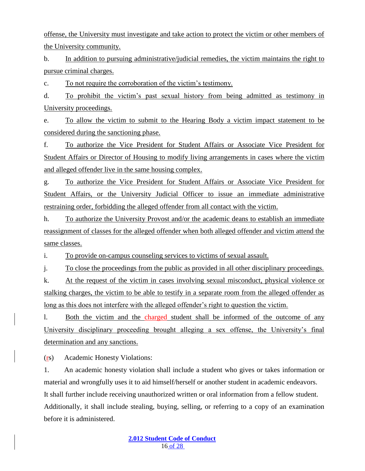offense, the University must investigate and take action to protect the victim or other members of the University community.

b. In addition to pursuing administrative/judicial remedies, the victim maintains the right to pursue criminal charges.

c. To not require the corroboration of the victim's testimony.

d. To prohibit the victim's past sexual history from being admitted as testimony in University proceedings.

e. To allow the victim to submit to the Hearing Body a victim impact statement to be considered during the sanctioning phase.

f. To authorize the Vice President for Student Affairs or Associate Vice President for Student Affairs or Director of Housing to modify living arrangements in cases where the victim and alleged offender live in the same housing complex.

g. To authorize the Vice President for Student Affairs or Associate Vice President for Student Affairs, or the University Judicial Officer to issue an immediate administrative restraining order, forbidding the alleged offender from all contact with the victim.

h. To authorize the University Provost and/or the academic deans to establish an immediate reassignment of classes for the alleged offender when both alleged offender and victim attend the same classes.

i. To provide on-campus counseling services to victims of sexual assault.

j. To close the proceedings from the public as provided in all other disciplinary proceedings.

k. At the request of the victim in cases involving sexual misconduct, physical violence or stalking charges, the victim to be able to testify in a separate room from the alleged offender as long as this does not interfere with the alleged offender's right to question the victim.

l. Both the victim and the charged student shall be informed of the outcome of any University disciplinary proceeding brought alleging a sex offense, the University's final determination and any sanctions.

(rs) Academic Honesty Violations:

1. An academic honesty violation shall include a student who gives or takes information or material and wrongfully uses it to aid himself/herself or another student in academic endeavors. It shall further include receiving unauthorized written or oral information from a fellow student. Additionally, it shall include stealing, buying, selling, or referring to a copy of an examination before it is administered.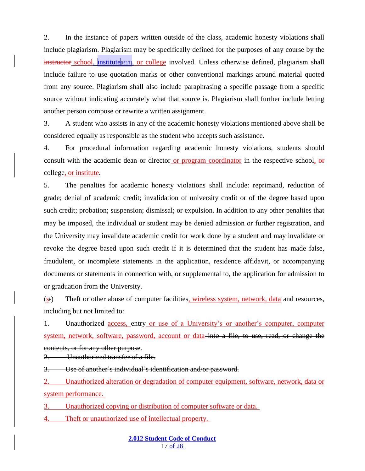2. In the instance of papers written outside of the class, academic honesty violations shall include plagiarism. Plagiarism may be specifically defined for the purposes of any course by the **instructor** school, institute<sub>[IE17]</sub>, or college involved. Unless otherwise defined, plagiarism shall include failure to use quotation marks or other conventional markings around material quoted from any source. Plagiarism shall also include paraphrasing a specific passage from a specific source without indicating accurately what that source is. Plagiarism shall further include letting another person compose or rewrite a written assignment.

3. A student who assists in any of the academic honesty violations mentioned above shall be considered equally as responsible as the student who accepts such assistance.

4. For procedural information regarding academic honesty violations, students should consult with the academic dean or director or program coordinator in the respective school, or college, or institute.

5. The penalties for academic honesty violations shall include: reprimand, reduction of grade; denial of academic credit; invalidation of university credit or of the degree based upon such credit; probation; suspension; dismissal; or expulsion. In addition to any other penalties that may be imposed, the individual or student may be denied admission or further registration, and the University may invalidate academic credit for work done by a student and may invalidate or revoke the degree based upon such credit if it is determined that the student has made false, fraudulent, or incomplete statements in the application, residence affidavit, or accompanying documents or statements in connection with, or supplemental to, the application for admission to or graduation from the University.

(st) Theft or other abuse of computer facilities, wireless system, network, data and resources, including but not limited to:

1. Unauthorized access, entry or use of a University's or another's computer, computer system, network, software, password, account or data into a file, to use, read, or change the contents, or for any other purpose.

2. Unauthorized transfer of a file.

3. Use of another's individual's identification and/or password.

2. Unauthorized alteration or degradation of computer equipment, software, network, data or system performance.

3. Unauthorized copying or distribution of computer software or data.

4. Theft or unauthorized use of intellectual property.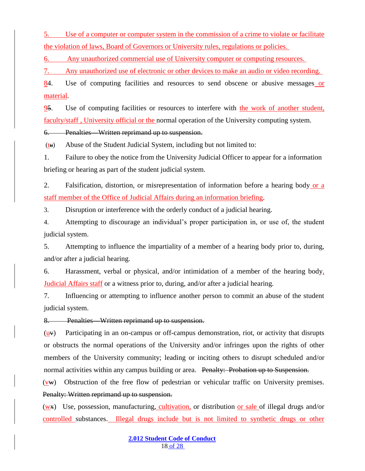5. Use of a computer or computer system in the commission of a crime to violate or facilitate the violation of laws, Board of Governors or University rules, regulations or policies.

6. Any unauthorized commercial use of University computer or computing resources.

7. Any unauthorized use of electronic or other devices to make an audio or video recording.

84. Use of computing facilities and resources to send obscene or abusive messages or material.

95. Use of computing facilities or resources to interfere with the work of another student, faculty/staff , University official or the normal operation of the University computing system.

6. Penalties—Written reprimand up to suspension.

 $(tu)$  Abuse of the Student Judicial System, including but not limited to:

1. Failure to obey the notice from the University Judicial Officer to appear for a information briefing or hearing as part of the student judicial system.

2. Falsification, distortion, or misrepresentation of information before a hearing body or a staff member of the Office of Judicial Affairs during an information briefing.

3. Disruption or interference with the orderly conduct of a judicial hearing.

4. Attempting to discourage an individual's proper participation in, or use of, the student judicial system.

5. Attempting to influence the impartiality of a member of a hearing body prior to, during, and/or after a judicial hearing.

6. Harassment, verbal or physical, and/or intimidation of a member of the hearing body, Judicial Affairs staff or a witness prior to, during, and/or after a judicial hearing.

7. Influencing or attempting to influence another person to commit an abuse of the student judicial system.

8. Penalties—Written reprimand up to suspension.

 $(u,v)$  Participating in an on-campus or off-campus demonstration, riot, or activity that disrupts or obstructs the normal operations of the University and/or infringes upon the rights of other members of the University community; leading or inciting others to disrupt scheduled and/or normal activities within any campus building or area. Penalty: Probation up to Suspension.

 $(vw)$  Obstruction of the free flow of pedestrian or vehicular traffic on University premises. Penalty: Written reprimand up to suspension.

(wx) Use, possession, manufacturing, cultivation, or distribution or sale of illegal drugs and/or controlled substances. Illegal drugs include but is not limited to synthetic drugs or other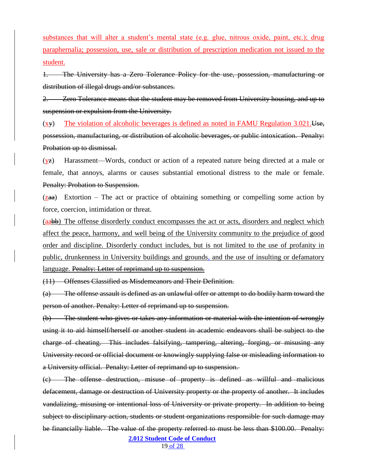substances that will alter a student's mental state (e.g. glue, nitrous oxide, paint, etc.); drug paraphernalia; possession, use, sale or distribution of prescription medication not issued to the student.

1. The University has a Zero Tolerance Policy for the use, possession, manufacturing or distribution of illegal drugs and/or substances.

**Zero Tolerance means that the student may be removed from University housing, and up to** suspension or expulsion from the University.

(xy) The violation of alcoholic beverages is defined as noted in FAMU Regulation 3.021.Use, possession, manufacturing, or distribution of alcoholic beverages, or public intoxication. Penalty: Probation up to dismissal.

(yz) Harassment—Words, conduct or action of a repeated nature being directed at a male or female, that annoys, alarms or causes substantial emotional distress to the male or female. Penalty: Probation to Suspension.

 $(zaa)$  Extortion – The act or practice of obtaining something or compelling some action by force, coercion, intimidation or threat.

(aabb) The offense disorderly conduct encompasses the act or acts, disorders and neglect which affect the peace, harmony, and well being of the University community to the prejudice of good order and discipline. Disorderly conduct includes, but is not limited to the use of profanity in public, drunkenness in University buildings and grounds, and the use of insulting or defamatory language. Penalty: Letter of reprimand up to suspension.

(11) Offenses Classified as Misdemeanors and Their Definition.

(a) The offense assault is defined as an unlawful offer or attempt to do bodily harm toward the person of another. Penalty: Letter of reprimand up to suspension.

(b) The student who gives or takes any information or material with the intention of wrongly using it to aid himself/herself or another student in academic endeavors shall be subject to the charge of cheating. This includes falsifying, tampering, altering, forging, or misusing any University record or official document or knowingly supplying false or misleading information to a University official. Penalty: Letter of reprimand up to suspension.

(c) The offense destruction, misuse of property is defined as willful and malicious defacement, damage or destruction of University property or the property of another. It includes vandalizing, misusing or intentional loss of University or private property. In addition to being subject to disciplinary action, students or student organizations responsible for such damage may be financially liable. The value of the property referred to must be less than \$100.00. Penalty:

**2.012 Student Code of Conduct**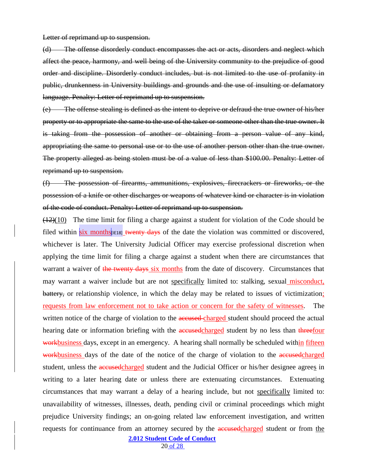Letter of reprimand up to suspension.

(d) The offense disorderly conduct encompasses the act or acts, disorders and neglect which affect the peace, harmony, and well being of the University community to the prejudice of good order and discipline. Disorderly conduct includes, but is not limited to the use of profanity in public, drunkenness in University buildings and grounds and the use of insulting or defamatory language. Penalty: Letter of reprimand up to suspension.

(e) The offense stealing is defined as the intent to deprive or defraud the true owner of his/her property or to appropriate the same to the use of the taker or someone other than the true owner. It is taking from the possession of another or obtaining from a person value of any kind, appropriating the same to personal use or to the use of another person other than the true owner. The property alleged as being stolen must be of a value of less than \$100.00. Penalty: Letter of reprimand up to suspension.

(f) The possession of firearms, ammunitions, explosives, firecrackers or fireworks, or the possession of a knife or other discharges or weapons of whatever kind or character is in violation of the code of conduct. Penalty: Letter of reprimand up to suspension.

 $(12)(10)$  The time limit for filing a charge against a student for violation of the Code should be filed within six months [IE18] twenty days of the date the violation was committed or discovered, whichever is later. The University Judicial Officer may exercise professional discretion when applying the time limit for filing a charge against a student when there are circumstances that warrant a waiver of the twenty days six months from the date of discovery. Circumstances that may warrant a waiver include but are not specifically limited to: stalking, sexual misconduct, battery, or relationship violence, in which the delay may be related to issues of victimization; requests from law enforcement not to take action or concern for the safety of witnesses. The written notice of the charge of violation to the **accused** charged student should proceed the actual hearing date or information briefing with the **accused** charged student by no less than threefour workbusiness days, except in an emergency. A hearing shall normally be scheduled within fifteen workbusiness days of the date of the notice of the charge of violation to the accused charged student, unless the accused charged student and the Judicial Officer or his/her designee agrees in writing to a later hearing date or unless there are extenuating circumstances. Extenuating circumstances that may warrant a delay of a hearing include, but not specifically limited to: unavailability of witnesses, illnesses, death, pending civil or criminal proceedings which might prejudice University findings; an on-going related law enforcement investigation, and written requests for continuance from an attorney secured by the **accused** charged student or from the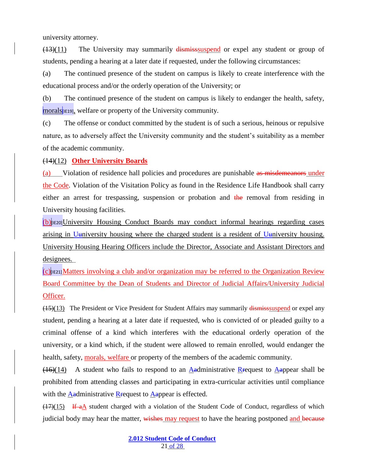university attorney.

(13)(11) The University may summarily dismisssuspend or expel any student or group of students, pending a hearing at a later date if requested, under the following circumstances:

(a) The continued presence of the student on campus is likely to create interference with the educational process and/or the orderly operation of the University; or

(b) The continued presence of the student on campus is likely to endanger the health, safety, morals<sup>[[E19]</sup>, welfare or property of the University community.

(c) The offense or conduct committed by the student is of such a serious, heinous or repulsive nature, as to adversely affect the University community and the student's suitability as a member of the academic community.

(14)(12) **Other University Boards**

(a) Violation of residence hall policies and procedures are punishable as misdemeanors under the Code. Violation of the Visitation Policy as found in the Residence Life Handbook shall carry either an arrest for trespassing, suspension or probation and the removal from residing in University housing facilities.

 $(b)$ <sub>[IE20]</sub>University Housing Conduct Boards may conduct informal hearings regarding cases arising in Uuniversity housing where the charged student is a resident of Uuniversity housing. University Housing Hearing Officers include the Director, Associate and Assistant Directors and designees.

 $(c)$ <sub>IE21]</sub>Matters involving a club and/or organization may be referred to the Organization Review Board Committee by the Dean of Students and Director of Judicial Affairs/University Judicial Officer.

(15)(13) The President or Vice President for Student Affairs may summarily dismisssuspend or expel any student, pending a hearing at a later date if requested, who is convicted of or pleaded guilty to a criminal offense of a kind which interferes with the educational orderly operation of the university, or a kind which, if the student were allowed to remain enrolled, would endanger the health, safety, morals, welfare or property of the members of the academic community.

 $(16)(14)$  A student who fails to respond to an Aadministrative R request to Aappear shall be prohibited from attending classes and participating in extra-curricular activities until compliance with the  $\triangle$ administrative R request to  $\triangle$ appear is effected.

 $(17)(15)$  If aA student charged with a violation of the Student Code of Conduct, regardless of which judicial body may hear the matter, wishes may request to have the hearing postponed and because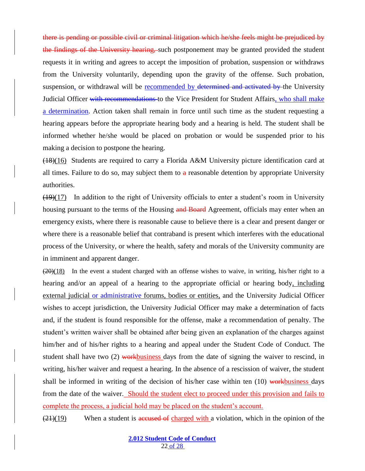there is pending or possible civil or criminal litigation which he/she feels might be prejudiced by the findings of the University hearing, such postponement may be granted provided the student requests it in writing and agrees to accept the imposition of probation, suspension or withdraws from the University voluntarily, depending upon the gravity of the offense. Such probation, suspension, or withdrawal will be recommended by determined and activated by the University Judicial Officer with recommendations to the Vice President for Student Affairs, who shall make a determination. Action taken shall remain in force until such time as the student requesting a hearing appears before the appropriate hearing body and a hearing is held. The student shall be informed whether he/she would be placed on probation or would be suspended prior to his making a decision to postpone the hearing.

(18)(16) Students are required to carry a Florida A&M University picture identification card at all times. Failure to do so, may subject them to  $a$  reasonable detention by appropriate University authorities.

 $(19)(17)$  In addition to the right of University officials to enter a student's room in University housing pursuant to the terms of the Housing and Board Agreement, officials may enter when an emergency exists, where there is reasonable cause to believe there is a clear and present danger or where there is a reasonable belief that contraband is present which interferes with the educational process of the University, or where the health, safety and morals of the University community are in imminent and apparent danger.

 $(20)(18)$  In the event a student charged with an offense wishes to waive, in writing, his/her right to a hearing and/or an appeal of a hearing to the appropriate official or hearing body, including external judicial or administrative forums, bodies or entities, and the University Judicial Officer wishes to accept jurisdiction, the University Judicial Officer may make a determination of facts and, if the student is found responsible for the offense, make a recommendation of penalty. The student's written waiver shall be obtained after being given an explanation of the charges against him/her and of his/her rights to a hearing and appeal under the Student Code of Conduct. The student shall have two  $(2)$  workbusiness days from the date of signing the waiver to rescind, in writing, his/her waiver and request a hearing. In the absence of a rescission of waiver, the student shall be informed in writing of the decision of his/her case within ten  $(10)$  workbusiness days from the date of the waiver. Should the student elect to proceed under this provision and fails to complete the process, a judicial hold may be placed on the student's account.

 $\left(\frac{21}{19}\right)$  When a student is accused of charged with a violation, which in the opinion of the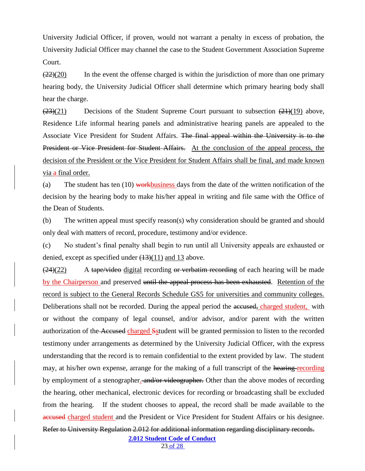University Judicial Officer, if proven, would not warrant a penalty in excess of probation, the University Judicial Officer may channel the case to the Student Government Association Supreme Court.

 $\left(\frac{22}{20}\right)$  In the event the offense charged is within the jurisdiction of more than one primary hearing body, the University Judicial Officer shall determine which primary hearing body shall hear the charge.

 $(23)(21)$  Decisions of the Student Supreme Court pursuant to subsection  $(21)(19)$  above, Residence Life informal hearing panels and administrative hearing panels are appealed to the Associate Vice President for Student Affairs. The final appeal within the University is to the President or Vice President for Student Affairs. At the conclusion of the appeal process, the decision of the President or the Vice President for Student Affairs shall be final, and made known via a final order.

(a) The student has ten  $(10)$  workbusiness days from the date of the written notification of the decision by the hearing body to make his/her appeal in writing and file same with the Office of the Dean of Students.

(b) The written appeal must specify reason(s) why consideration should be granted and should only deal with matters of record, procedure, testimony and/or evidence.

(c) No student's final penalty shall begin to run until all University appeals are exhausted or denied, except as specified under  $(13)(11)$  and 13 above.

 $(24)(22)$  A tape/video digital recording or verbatim recording of each hearing will be made by the Chairperson and preserved until the appeal process has been exhausted. Retention of the record is subject to the General Records Schedule GS5 for universities and community colleges. Deliberations shall not be recorded. During the appeal period the accused, charged student, with or without the company of legal counsel, and/or advisor, and/or parent with the written authorization of the Accused charged Sstudent will be granted permission to listen to the recorded testimony under arrangements as determined by the University Judicial Officer, with the express understanding that the record is to remain confidential to the extent provided by law. The student may, at his/her own expense, arrange for the making of a full transcript of the hearing recording by employment of a stenographer. and/or videographer. Other than the above modes of recording the hearing, other mechanical, electronic devices for recording or broadcasting shall be excluded from the hearing. If the student chooses to appeal, the record shall be made available to the accused charged student and the President or Vice President for Student Affairs or his designee.

Refer to University Regulation 2.012 for additional information regarding disciplinary records.

**2.012 Student Code of Conduct**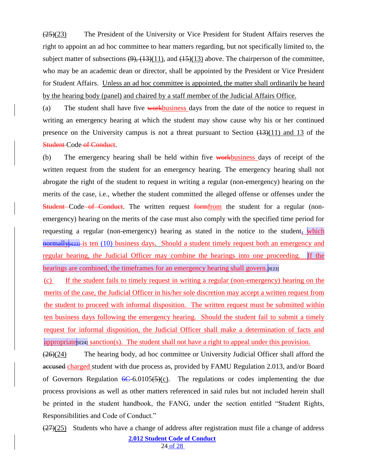(25)(23) The President of the University or Vice President for Student Affairs reserves the right to appoint an ad hoc committee to hear matters regarding, but not specifically limited to, the subject matter of subsections  $(9)$ ,  $(13)(11)$ , and  $(15)(13)$  above. The chairperson of the committee, who may be an academic dean or director, shall be appointed by the President or Vice President for Student Affairs. Unless an ad hoc committee is appointed, the matter shall ordinarily be heard by the hearing body (panel) and chaired by a staff member of the Judicial Affairs Office.

(a) The student shall have five workbusiness days from the date of the notice to request in writing an emergency hearing at which the student may show cause why his or her continued presence on the University campus is not a threat pursuant to Section  $(13)(11)$  and 13 of the Student-Code-of-Conduct.

(b) The emergency hearing shall be held within five workbusiness days of receipt of the written request from the student for an emergency hearing. The emergency hearing shall not abrogate the right of the student to request in writing a regular (non-emergency) hearing on the merits of the case, i.e., whether the student committed the alleged offense or offenses under the **Student** Code of Conduct. The written request form from the student for a regular (nonemergency) hearing on the merits of the case must also comply with the specified time period for requesting a regular (non-emergency) hearing as stated in the notice to the student, which normally  $\mu$  E22]-is ten (10) business days. Should a student timely request both an emergency and regular hearing, the Judicial Officer may combine the hearings into one proceeding. If the hearings are combined, the timeframes for an emergency hearing shall govern. [IE23]

(c) If the student fails to timely request in writing a regular (non-emergency) hearing on the merits of the case, the Judicial Officer in his/her sole discretion may accept a written request from the student to proceed with informal disposition. The written request must be submitted within ten business days following the emergency hearing. Should the student fail to submit a timely request for informal disposition, the Judicial Officer shall make a determination of facts and appropriate  $\epsilon$  sanction(s). The student shall not have a right to appeal under this provision.

 $(26)(24)$  The hearing body, ad hoc committee or University Judicial Officer shall afford the accused charged student with due process as, provided by FAMU Regulation 2.013, and/or Board of Governors Regulation  $6C-6.0105(5)(c)$ . The regulations or codes implementing the due process provisions as well as other matters referenced in said rules but not included herein shall be printed in the student handbook, the FANG, under the section entitled "Student Rights, Responsibilities and Code of Conduct."

**2.012 Student Code of Conduct**  $\left(\frac{27}{25}\right)$  Students who have a change of address after registration must file a change of address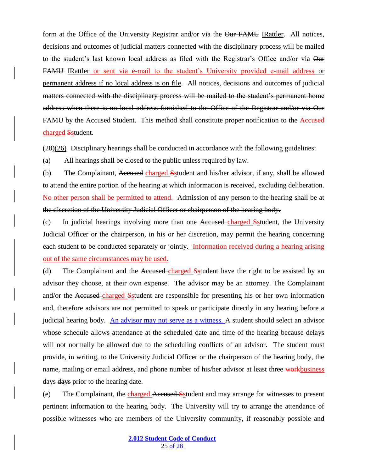form at the Office of the University Registrar and/or via the Our FAMU IRattler. All notices, decisions and outcomes of judicial matters connected with the disciplinary process will be mailed to the student's last known local address as filed with the Registrar's Office and/or via Our FAMU IRattler or sent via e-mail to the student's University provided e-mail address or permanent address if no local address is on file. All notices, decisions and outcomes of judicial matters connected with the disciplinary process will be mailed to the student's permanent home address when there is no local address furnished to the Office of the Registrar and/or via Our FAMU by the Accused Student. This method shall constitute proper notification to the Accused charged Sstudent.

 $(28)(26)$  Disciplinary hearings shall be conducted in accordance with the following guidelines:

(a) All hearings shall be closed to the public unless required by law.

(b) The Complainant, Accused charged Sstudent and his/her advisor, if any, shall be allowed to attend the entire portion of the hearing at which information is received, excluding deliberation. No other person shall be permitted to attend. Admission of any person to the hearing shall be at the discretion of the University Judicial Officer or chairperson of the hearing body.

(c) In judicial hearings involving more than one Accused charged Sstudent, the University Judicial Officer or the chairperson, in his or her discretion, may permit the hearing concerning each student to be conducted separately or jointly. Information received during a hearing arising out of the same circumstances may be used.

(d) The Complainant and the Accused charged Sstudent have the right to be assisted by an advisor they choose, at their own expense. The advisor may be an attorney. The Complainant and/or the Accused charged Sstudent are responsible for presenting his or her own information and, therefore advisors are not permitted to speak or participate directly in any hearing before a judicial hearing body. An advisor may not serve as a witness. A student should select an advisor whose schedule allows attendance at the scheduled date and time of the hearing because delays will not normally be allowed due to the scheduling conflicts of an advisor. The student must provide, in writing, to the University Judicial Officer or the chairperson of the hearing body, the name, mailing or email address, and phone number of his/her advisor at least three workbusiness days days prior to the hearing date.

(e) The Complainant, the charged Accused Sstudent and may arrange for witnesses to present pertinent information to the hearing body. The University will try to arrange the attendance of possible witnesses who are members of the University community, if reasonably possible and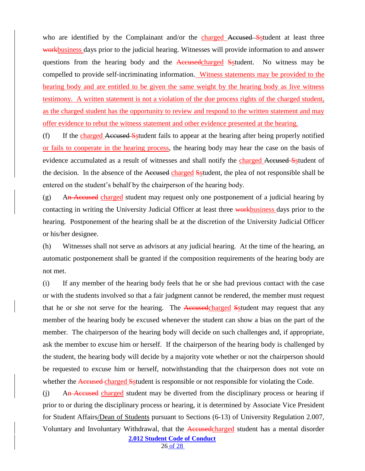who are identified by the Complainant and/or the charged Accused Sstudent at least three workbusiness days prior to the judicial hearing. Witnesses will provide information to and answer questions from the hearing body and the Accused charged Sstudent. No witness may be compelled to provide self-incriminating information. Witness statements may be provided to the hearing body and are entitled to be given the same weight by the hearing body as live witness testimony. A written statement is not a violation of the due process rights of the charged student, as the charged student has the opportunity to review and respond to the written statement and may offer evidence to rebut the witness statement and other evidence presented at the hearing.

(f) If the charged Accused Sstudent fails to appear at the hearing after being properly notified or fails to cooperate in the hearing process, the hearing body may hear the case on the basis of evidence accumulated as a result of witnesses and shall notify the charged Accused Sstudent of the decision. In the absence of the Accused charged Sstudent, the plea of not responsible shall be entered on the student's behalf by the chairperson of the hearing body.

 $(g)$  An Accused charged student may request only one postponement of a judicial hearing by contacting in writing the University Judicial Officer at least three workbusiness days prior to the hearing. Postponement of the hearing shall be at the discretion of the University Judicial Officer or his/her designee.

(h) Witnesses shall not serve as advisors at any judicial hearing. At the time of the hearing, an automatic postponement shall be granted if the composition requirements of the hearing body are not met.

(i) If any member of the hearing body feels that he or she had previous contact with the case or with the students involved so that a fair judgment cannot be rendered, the member must request that he or she not serve for the hearing. The Accused charged Sstudent may request that any member of the hearing body be excused whenever the student can show a bias on the part of the member. The chairperson of the hearing body will decide on such challenges and, if appropriate, ask the member to excuse him or herself. If the chairperson of the hearing body is challenged by the student, the hearing body will decide by a majority vote whether or not the chairperson should be requested to excuse him or herself, notwithstanding that the chairperson does not vote on whether the Accused charged Sstudent is responsible or not responsible for violating the Code.

**2.012 Student Code of Conduct** (j) An Accused charged student may be diverted from the disciplinary process or hearing if prior to or during the disciplinary process or hearing, it is determined by Associate Vice President for Student Affairs/Dean of Students pursuant to Sections (6-13) of University Regulation 2.007, Voluntary and Involuntary Withdrawal, that the **Accused** charged student has a mental disorder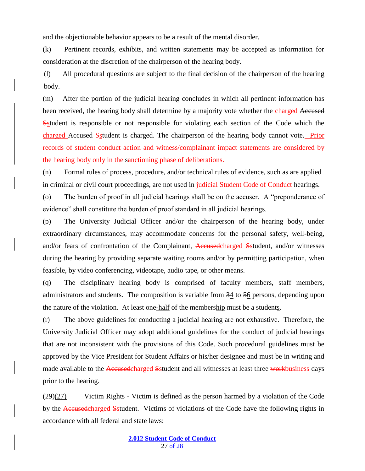and the objectionable behavior appears to be a result of the mental disorder.

(k) Pertinent records, exhibits, and written statements may be accepted as information for consideration at the discretion of the chairperson of the hearing body.

(l) All procedural questions are subject to the final decision of the chairperson of the hearing body.

(m) After the portion of the judicial hearing concludes in which all pertinent information has been received, the hearing body shall determine by a majority vote whether the charged Accused Sstudent is responsible or not responsible for violating each section of the Code which the charged Accused Sstudent is charged. The chairperson of the hearing body cannot vote. Prior records of student conduct action and witness/complainant impact statements are considered by the hearing body only in the sanctioning phase of deliberations.

(n) Formal rules of process, procedure, and/or technical rules of evidence, such as are applied in criminal or civil court proceedings, are not used in judicial Student Code of Conduct hearings.

(o) The burden of proof in all judicial hearings shall be on the accuser. A "preponderance of evidence" shall constitute the burden of proof standard in all judicial hearings.

(p) The University Judicial Officer and/or the chairperson of the hearing body, under extraordinary circumstances, may accommodate concerns for the personal safety, well-being, and/or fears of confrontation of the Complainant, Accusedcharged Sstudent, and/or witnesses during the hearing by providing separate waiting rooms and/or by permitting participation, when feasible, by video conferencing, videotape, audio tape, or other means.

(q) The disciplinary hearing body is comprised of faculty members, staff members, administrators and students. The composition is variable from 34 to 56 persons, depending upon the nature of the violation. At least one-half of the membership must be a-students.

(r) The above guidelines for conducting a judicial hearing are not exhaustive. Therefore, the University Judicial Officer may adopt additional guidelines for the conduct of judicial hearings that are not inconsistent with the provisions of this Code. Such procedural guidelines must be approved by the Vice President for Student Affairs or his/her designee and must be in writing and made available to the Accused charged Sstudent and all witnesses at least three workbusiness days prior to the hearing.

 $(29)(27)$  Victim Rights - Victim is defined as the person harmed by a violation of the Code by the Accusedcharged Sstudent. Victims of violations of the Code have the following rights in accordance with all federal and state laws: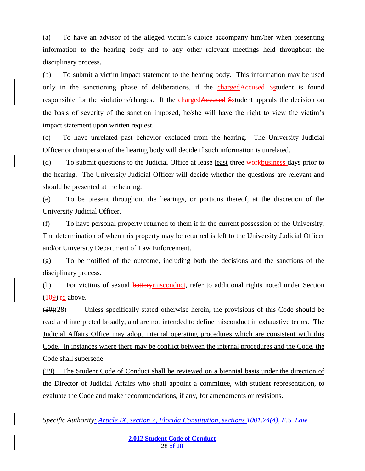(a) To have an advisor of the alleged victim's choice accompany him/her when presenting information to the hearing body and to any other relevant meetings held throughout the disciplinary process.

(b) To submit a victim impact statement to the hearing body. This information may be used only in the sanctioning phase of deliberations, if the chargedAccused Sstudent is found responsible for the violations/charges. If the chargedAccused Sstudent appeals the decision on the basis of severity of the sanction imposed, he/she will have the right to view the victim's impact statement upon written request.

(c) To have unrelated past behavior excluded from the hearing. The University Judicial Officer or chairperson of the hearing body will decide if such information is unrelated.

(d) To submit questions to the Judicial Office at lease least three workbusiness days prior to the hearing. The University Judicial Officer will decide whether the questions are relevant and should be presented at the hearing.

(e) To be present throughout the hearings, or portions thereof, at the discretion of the University Judicial Officer.

(f) To have personal property returned to them if in the current possession of the University. The determination of when this property may be returned is left to the University Judicial Officer and/or University Department of Law Enforcement.

(g) To be notified of the outcome, including both the decisions and the sanctions of the disciplinary process.

(h) For victims of sexual batterymisconduct, refer to additional rights noted under Section  $(109)$  rg above.

 $(30)(28)$  Unless specifically stated otherwise herein, the provisions of this Code should be read and interpreted broadly, and are not intended to define misconduct in exhaustive terms. The Judicial Affairs Office may adopt internal operating procedures which are consistent with this Code. In instances where there may be conflict between the internal procedures and the Code, the Code shall supersede.

(29) The Student Code of Conduct shall be reviewed on a biennial basis under the direction of the Director of Judicial Affairs who shall appoint a committee, with student representation, to evaluate the Code and make recommendations, if any, for amendments or revisions.

*Specific Authority: Article IX, section 7, Florida Constitution, sections 1001.74(4), F.S. Law*